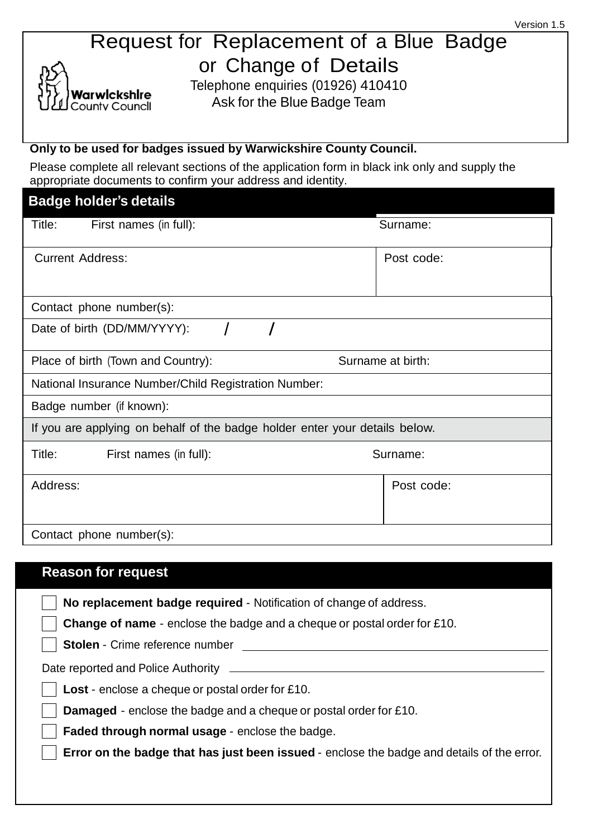## Request for Replacement of a Blue Badge or Change of Details

Telephone enquiries (01926) 410410 Ask for the Blue Badge Team

#### **Only to be used for badges issued by Warwickshire County Council.**

/arwlckshlre ounty Councll.

Please complete all relevant sections of the application form in black ink only and supply the appropriate documents to confirm your address and identity.

| <b>Badge holder's details</b>                                               |                   |  |
|-----------------------------------------------------------------------------|-------------------|--|
| Title:<br>First names (in full):                                            | Surname:          |  |
| <b>Current Address:</b>                                                     | Post code:        |  |
| Contact phone number(s):                                                    |                   |  |
| Date of birth (DD/MM/YYYY):                                                 |                   |  |
| Place of birth (Town and Country):                                          | Surname at birth: |  |
| National Insurance Number/Child Registration Number:                        |                   |  |
| Badge number (if known):                                                    |                   |  |
| If you are applying on behalf of the badge holder enter your details below. |                   |  |
| Title:<br>First names (in full):                                            | Surname:          |  |
| Address:                                                                    | Post code:        |  |
| Contact phone number(s):                                                    |                   |  |

# **Reason for request No replacement badge required** - Notification of change of address. **Change of name** - enclose the badge and a cheque or postal order for £10. **Stolen** - Crime reference number Date reported and Police Authority \_ **Lost** - enclose a cheque or postal order for £10. **Damaged** - enclose the badge and a cheque or postal order for £10. **Faded through normal usage** - enclose the badge. **Error on the badge that has just been issued** - enclose the badge and details of the error.